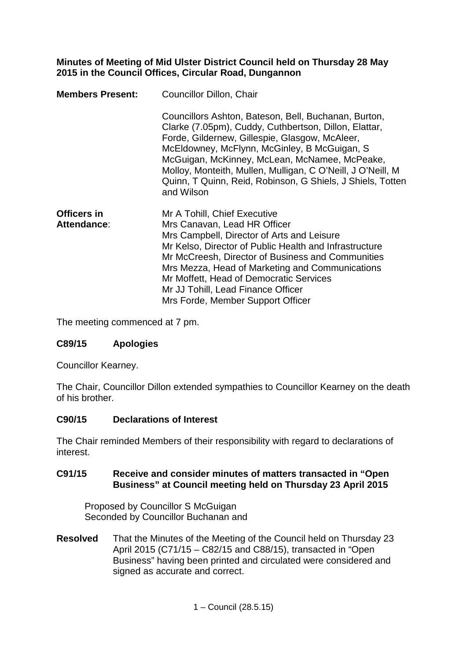## **Minutes of Meeting of Mid Ulster District Council held on Thursday 28 May 2015 in the Council Offices, Circular Road, Dungannon**

| <b>Members Present:</b>    | Councillor Dillon, Chair                                                                                                                                                                                                                                                                                                                                                                                    |  |
|----------------------------|-------------------------------------------------------------------------------------------------------------------------------------------------------------------------------------------------------------------------------------------------------------------------------------------------------------------------------------------------------------------------------------------------------------|--|
|                            | Councillors Ashton, Bateson, Bell, Buchanan, Burton,<br>Clarke (7.05pm), Cuddy, Cuthbertson, Dillon, Elattar,<br>Forde, Gildernew, Gillespie, Glasgow, McAleer,<br>McEldowney, McFlynn, McGinley, B McGuigan, S<br>McGuigan, McKinney, McLean, McNamee, McPeake,<br>Molloy, Monteith, Mullen, Mulligan, C O'Neill, J O'Neill, M<br>Quinn, T Quinn, Reid, Robinson, G Shiels, J Shiels, Totten<br>and Wilson |  |
| Officers in<br>Attendance: | Mr A Tohill, Chief Executive<br>Mrs Canavan, Lead HR Officer<br>Mrs Campbell, Director of Arts and Leisure<br>Mr Kelso, Director of Public Health and Infrastructure<br>Mr McCreesh, Director of Business and Communities<br>Mrs Mezza, Head of Marketing and Communications<br>Mr Moffett, Head of Democratic Services<br>Mr JJ Tohill, Lead Finance Officer<br>Mrs Forde, Member Support Officer          |  |

The meeting commenced at 7 pm.

# **C89/15 Apologies**

Councillor Kearney.

The Chair, Councillor Dillon extended sympathies to Councillor Kearney on the death of his brother.

### **C90/15 Declarations of Interest**

The Chair reminded Members of their responsibility with regard to declarations of interest.

### **C91/15 Receive and consider minutes of matters transacted in "Open Business" at Council meeting held on Thursday 23 April 2015**

Proposed by Councillor S McGuigan Seconded by Councillor Buchanan and

**Resolved** That the Minutes of the Meeting of the Council held on Thursday 23 April 2015 (C71/15 – C82/15 and C88/15), transacted in "Open Business" having been printed and circulated were considered and signed as accurate and correct.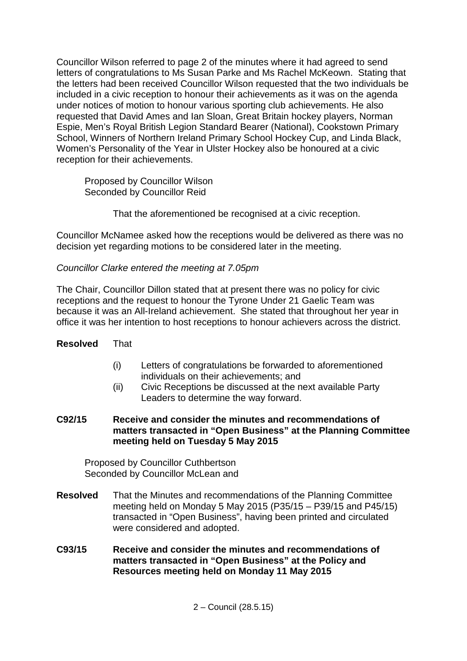Councillor Wilson referred to page 2 of the minutes where it had agreed to send letters of congratulations to Ms Susan Parke and Ms Rachel McKeown. Stating that the letters had been received Councillor Wilson requested that the two individuals be included in a civic reception to honour their achievements as it was on the agenda under notices of motion to honour various sporting club achievements. He also requested that David Ames and Ian Sloan, Great Britain hockey players, Norman Espie, Men's Royal British Legion Standard Bearer (National), Cookstown Primary School, Winners of Northern Ireland Primary School Hockey Cup, and Linda Black, Women's Personality of the Year in Ulster Hockey also be honoured at a civic reception for their achievements.

Proposed by Councillor Wilson Seconded by Councillor Reid

That the aforementioned be recognised at a civic reception.

Councillor McNamee asked how the receptions would be delivered as there was no decision yet regarding motions to be considered later in the meeting.

### *Councillor Clarke entered the meeting at 7.05pm*

The Chair, Councillor Dillon stated that at present there was no policy for civic receptions and the request to honour the Tyrone Under 21 Gaelic Team was because it was an All-Ireland achievement. She stated that throughout her year in office it was her intention to host receptions to honour achievers across the district.

# **Resolved** That

- (i) Letters of congratulations be forwarded to aforementioned individuals on their achievements; and
- (ii) Civic Receptions be discussed at the next available Party Leaders to determine the way forward.
- **C92/15 Receive and consider the minutes and recommendations of matters transacted in "Open Business" at the Planning Committee meeting held on Tuesday 5 May 2015**

Proposed by Councillor Cuthbertson Seconded by Councillor McLean and

- **Resolved** That the Minutes and recommendations of the Planning Committee meeting held on Monday 5 May 2015 (P35/15 – P39/15 and P45/15) transacted in "Open Business", having been printed and circulated were considered and adopted.
- **C93/15 Receive and consider the minutes and recommendations of matters transacted in "Open Business" at the Policy and Resources meeting held on Monday 11 May 2015**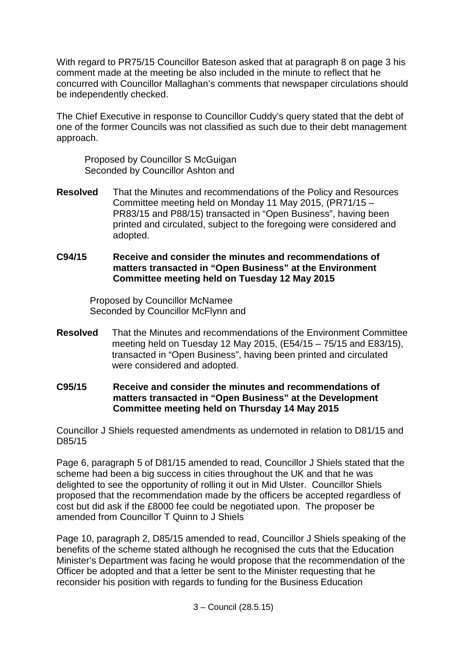With regard to PR75/15 Councillor Bateson asked that at paragraph 8 on page 3 his comment made at the meeting be also included in the minute to reflect that he concurred with Councillor Mallaghan's comments that newspaper circulations should be independently checked.

The Chief Executive in response to Councillor Cuddy's query stated that the debt of one of the former Councils was not classified as such due to their debt management approach.

Proposed by Councillor S McGuigan Seconded by Councillor Ashton and

- **Resolved** That the Minutes and recommendations of the Policy and Resources Committee meeting held on Monday 11 May 2015, (PR71/15 – PR83/15 and P88/15) transacted in "Open Business", having been printed and circulated, subject to the foregoing were considered and adopted.
- **C94/15 Receive and consider the minutes and recommendations of matters transacted in "Open Business" at the Environment Committee meeting held on Tuesday 12 May 2015**

Proposed by Councillor McNamee Seconded by Councillor McFlynn and

- **Resolved** That the Minutes and recommendations of the Environment Committee meeting held on Tuesday 12 May 2015, (E54/15 – 75/15 and E83/15), transacted in "Open Business", having been printed and circulated were considered and adopted.
- **C95/15 Receive and consider the minutes and recommendations of matters transacted in "Open Business" at the Development Committee meeting held on Thursday 14 May 2015**

Councillor J Shiels requested amendments as undernoted in relation to D81/15 and D85/15

Page 6, paragraph 5 of D81/15 amended to read, Councillor J Shiels stated that the scheme had been a big success in cities throughout the UK and that he was delighted to see the opportunity of rolling it out in Mid Ulster. Councillor Shiels proposed that the recommendation made by the officers be accepted regardless of cost but did ask if the £8000 fee could be negotiated upon. The proposer be amended from Councillor T Quinn to J Shiels

Page 10, paragraph 2, D85/15 amended to read, Councillor J Shiels speaking of the benefits of the scheme stated although he recognised the cuts that the Education Minister's Department was facing he would propose that the recommendation of the Officer be adopted and that a letter be sent to the Minister requesting that he reconsider his position with regards to funding for the Business Education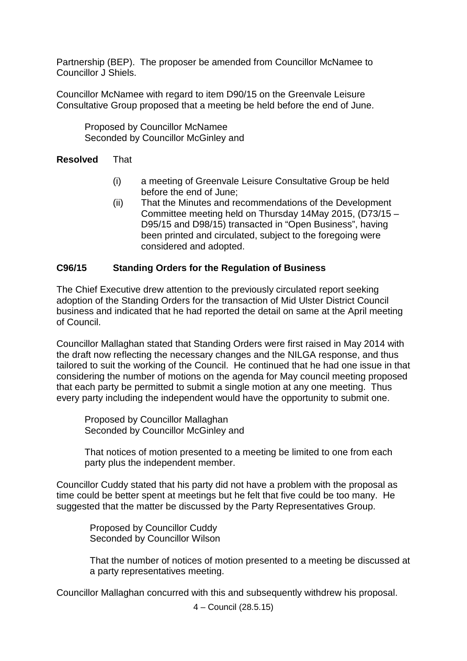Partnership (BEP). The proposer be amended from Councillor McNamee to Councillor J Shiels.

Councillor McNamee with regard to item D90/15 on the Greenvale Leisure Consultative Group proposed that a meeting be held before the end of June.

Proposed by Councillor McNamee Seconded by Councillor McGinley and

## **Resolved** That

- (i) a meeting of Greenvale Leisure Consultative Group be held before the end of June;
- (ii) That the Minutes and recommendations of the Development Committee meeting held on Thursday 14May 2015, (D73/15 – D95/15 and D98/15) transacted in "Open Business", having been printed and circulated, subject to the foregoing were considered and adopted.

# **C96/15 Standing Orders for the Regulation of Business**

The Chief Executive drew attention to the previously circulated report seeking adoption of the Standing Orders for the transaction of Mid Ulster District Council business and indicated that he had reported the detail on same at the April meeting of Council.

Councillor Mallaghan stated that Standing Orders were first raised in May 2014 with the draft now reflecting the necessary changes and the NILGA response, and thus tailored to suit the working of the Council. He continued that he had one issue in that considering the number of motions on the agenda for May council meeting proposed that each party be permitted to submit a single motion at any one meeting. Thus every party including the independent would have the opportunity to submit one.

Proposed by Councillor Mallaghan Seconded by Councillor McGinley and

That notices of motion presented to a meeting be limited to one from each party plus the independent member.

Councillor Cuddy stated that his party did not have a problem with the proposal as time could be better spent at meetings but he felt that five could be too many. He suggested that the matter be discussed by the Party Representatives Group.

Proposed by Councillor Cuddy Seconded by Councillor Wilson

That the number of notices of motion presented to a meeting be discussed at a party representatives meeting.

Councillor Mallaghan concurred with this and subsequently withdrew his proposal.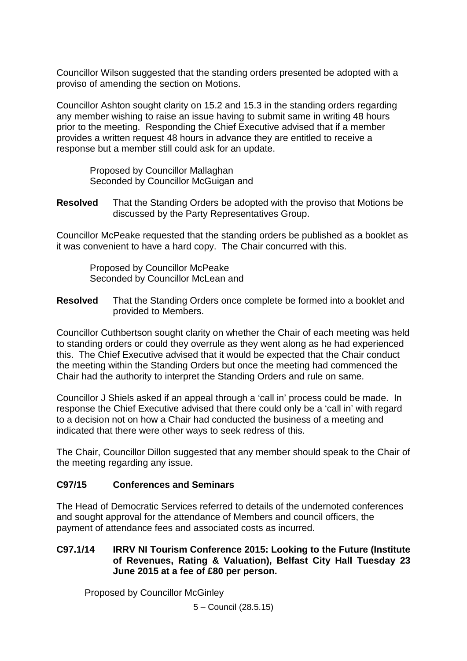Councillor Wilson suggested that the standing orders presented be adopted with a proviso of amending the section on Motions.

Councillor Ashton sought clarity on 15.2 and 15.3 in the standing orders regarding any member wishing to raise an issue having to submit same in writing 48 hours prior to the meeting. Responding the Chief Executive advised that if a member provides a written request 48 hours in advance they are entitled to receive a response but a member still could ask for an update.

Proposed by Councillor Mallaghan Seconded by Councillor McGuigan and

**Resolved** That the Standing Orders be adopted with the proviso that Motions be discussed by the Party Representatives Group.

Councillor McPeake requested that the standing orders be published as a booklet as it was convenient to have a hard copy. The Chair concurred with this.

Proposed by Councillor McPeake Seconded by Councillor McLean and

**Resolved** That the Standing Orders once complete be formed into a booklet and provided to Members.

Councillor Cuthbertson sought clarity on whether the Chair of each meeting was held to standing orders or could they overrule as they went along as he had experienced this. The Chief Executive advised that it would be expected that the Chair conduct the meeting within the Standing Orders but once the meeting had commenced the Chair had the authority to interpret the Standing Orders and rule on same.

Councillor J Shiels asked if an appeal through a 'call in' process could be made. In response the Chief Executive advised that there could only be a 'call in' with regard to a decision not on how a Chair had conducted the business of a meeting and indicated that there were other ways to seek redress of this.

The Chair, Councillor Dillon suggested that any member should speak to the Chair of the meeting regarding any issue.

### **C97/15 Conferences and Seminars**

The Head of Democratic Services referred to details of the undernoted conferences and sought approval for the attendance of Members and council officers, the payment of attendance fees and associated costs as incurred.

## **C97.1/14 IRRV NI Tourism Conference 2015: Looking to the Future (Institute of Revenues, Rating & Valuation), Belfast City Hall Tuesday 23 June 2015 at a fee of £80 per person.**

Proposed by Councillor McGinley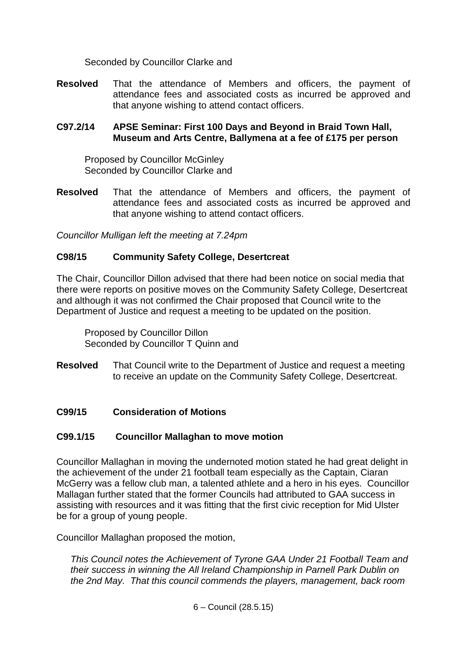Seconded by Councillor Clarke and

**Resolved** That the attendance of Members and officers, the payment of attendance fees and associated costs as incurred be approved and that anyone wishing to attend contact officers.

## **C97.2/14 APSE Seminar: First 100 Days and Beyond in Braid Town Hall, Museum and Arts Centre, Ballymena at a fee of £175 per person**

Proposed by Councillor McGinley Seconded by Councillor Clarke and

**Resolved** That the attendance of Members and officers, the payment of attendance fees and associated costs as incurred be approved and that anyone wishing to attend contact officers.

*Councillor Mulligan left the meeting at 7.24pm*

# **C98/15 Community Safety College, Desertcreat**

The Chair, Councillor Dillon advised that there had been notice on social media that there were reports on positive moves on the Community Safety College, Desertcreat and although it was not confirmed the Chair proposed that Council write to the Department of Justice and request a meeting to be updated on the position.

Proposed by Councillor Dillon Seconded by Councillor T Quinn and

**Resolved** That Council write to the Department of Justice and request a meeting to receive an update on the Community Safety College, Desertcreat.

# **C99/15 Consideration of Motions**

### **C99.1/15 Councillor Mallaghan to move motion**

Councillor Mallaghan in moving the undernoted motion stated he had great delight in the achievement of the under 21 football team especially as the Captain, Ciaran McGerry was a fellow club man, a talented athlete and a hero in his eyes. Councillor Mallagan further stated that the former Councils had attributed to GAA success in assisting with resources and it was fitting that the first civic reception for Mid Ulster be for a group of young people.

Councillor Mallaghan proposed the motion,

*This Council notes the Achievement of Tyrone GAA Under 21 Football Team and their success in winning the All Ireland Championship in Parnell Park Dublin on the 2nd May. That this council commends the players, management, back room*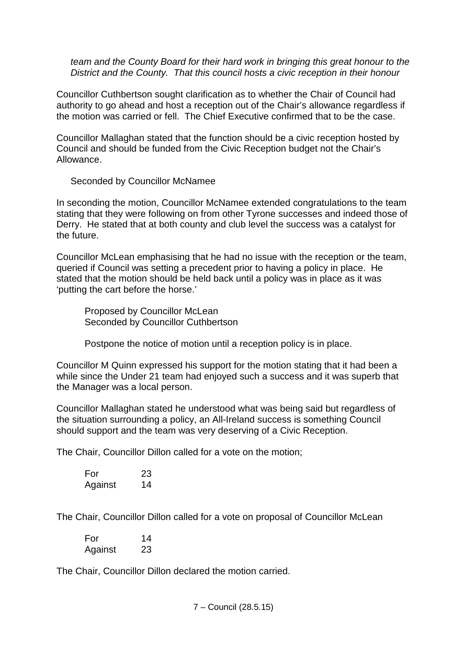*team and the County Board for their hard work in bringing this great honour to the District and the County. That this council hosts a civic reception in their honour*

Councillor Cuthbertson sought clarification as to whether the Chair of Council had authority to go ahead and host a reception out of the Chair's allowance regardless if the motion was carried or fell. The Chief Executive confirmed that to be the case.

Councillor Mallaghan stated that the function should be a civic reception hosted by Council and should be funded from the Civic Reception budget not the Chair's Allowance.

Seconded by Councillor McNamee

In seconding the motion, Councillor McNamee extended congratulations to the team stating that they were following on from other Tyrone successes and indeed those of Derry. He stated that at both county and club level the success was a catalyst for the future.

Councillor McLean emphasising that he had no issue with the reception or the team, queried if Council was setting a precedent prior to having a policy in place. He stated that the motion should be held back until a policy was in place as it was 'putting the cart before the horse.'

Proposed by Councillor McLean Seconded by Councillor Cuthbertson

Postpone the notice of motion until a reception policy is in place.

Councillor M Quinn expressed his support for the motion stating that it had been a while since the Under 21 team had enjoyed such a success and it was superb that the Manager was a local person.

Councillor Mallaghan stated he understood what was being said but regardless of the situation surrounding a policy, an All-Ireland success is something Council should support and the team was very deserving of a Civic Reception.

The Chair, Councillor Dillon called for a vote on the motion;

| For     | 23 |
|---------|----|
| Against | 14 |

The Chair, Councillor Dillon called for a vote on proposal of Councillor McLean

For 14 Against 23

The Chair, Councillor Dillon declared the motion carried.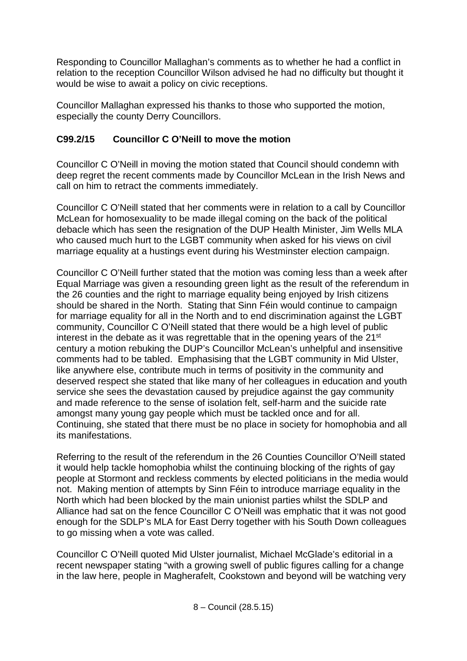Responding to Councillor Mallaghan's comments as to whether he had a conflict in relation to the reception Councillor Wilson advised he had no difficulty but thought it would be wise to await a policy on civic receptions.

Councillor Mallaghan expressed his thanks to those who supported the motion, especially the county Derry Councillors.

# **C99.2/15 Councillor C O'Neill to move the motion**

Councillor C O'Neill in moving the motion stated that Council should condemn with deep regret the recent comments made by Councillor McLean in the Irish News and call on him to retract the comments immediately.

Councillor C O'Neill stated that her comments were in relation to a call by Councillor McLean for homosexuality to be made illegal coming on the back of the political debacle which has seen the resignation of the DUP Health Minister, Jim Wells MLA who caused much hurt to the LGBT community when asked for his views on civil marriage equality at a hustings event during his Westminster election campaign.

Councillor C O'Neill further stated that the motion was coming less than a week after Equal Marriage was given a resounding green light as the result of the referendum in the 26 counties and the right to marriage equality being enjoyed by Irish citizens should be shared in the North. Stating that Sinn Féin would continue to campaign for marriage equality for all in the North and to end discrimination against the LGBT community, Councillor C O'Neill stated that there would be a high level of public interest in the debate as it was regrettable that in the opening years of the 21<sup>st</sup> century a motion rebuking the DUP's Councillor McLean's unhelpful and insensitive comments had to be tabled. Emphasising that the LGBT community in Mid Ulster, like anywhere else, contribute much in terms of positivity in the community and deserved respect she stated that like many of her colleagues in education and youth service she sees the devastation caused by prejudice against the gay community and made reference to the sense of isolation felt, self-harm and the suicide rate amongst many young gay people which must be tackled once and for all. Continuing, she stated that there must be no place in society for homophobia and all its manifestations.

Referring to the result of the referendum in the 26 Counties Councillor O'Neill stated it would help tackle homophobia whilst the continuing blocking of the rights of gay people at Stormont and reckless comments by elected politicians in the media would not. Making mention of attempts by Sinn Féin to introduce marriage equality in the North which had been blocked by the main unionist parties whilst the SDLP and Alliance had sat on the fence Councillor C O'Neill was emphatic that it was not good enough for the SDLP's MLA for East Derry together with his South Down colleagues to go missing when a vote was called.

Councillor C O'Neill quoted Mid Ulster journalist, Michael McGlade's editorial in a recent newspaper stating "with a growing swell of public figures calling for a change in the law here, people in Magherafelt, Cookstown and beyond will be watching very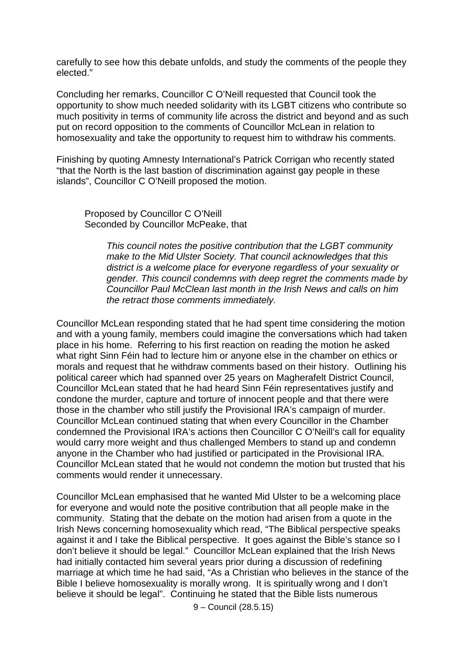carefully to see how this debate unfolds, and study the comments of the people they elected."

Concluding her remarks, Councillor C O'Neill requested that Council took the opportunity to show much needed solidarity with its LGBT citizens who contribute so much positivity in terms of community life across the district and beyond and as such put on record opposition to the comments of Councillor McLean in relation to homosexuality and take the opportunity to request him to withdraw his comments.

Finishing by quoting Amnesty International's Patrick Corrigan who recently stated "that the North is the last bastion of discrimination against gay people in these islands", Councillor C O'Neill proposed the motion.

Proposed by Councillor C O'Neill Seconded by Councillor McPeake, that

> *This council notes the positive contribution that the LGBT community make to the Mid Ulster Society. That council acknowledges that this district is a welcome place for everyone regardless of your sexuality or gender. This council condemns with deep regret the comments made by Councillor Paul McClean last month in the Irish News and calls on him the retract those comments immediately.*

Councillor McLean responding stated that he had spent time considering the motion and with a young family, members could imagine the conversations which had taken place in his home. Referring to his first reaction on reading the motion he asked what right Sinn Féin had to lecture him or anyone else in the chamber on ethics or morals and request that he withdraw comments based on their history. Outlining his political career which had spanned over 25 years on Magherafelt District Council, Councillor McLean stated that he had heard Sinn Féin representatives justify and condone the murder, capture and torture of innocent people and that there were those in the chamber who still justify the Provisional IRA's campaign of murder. Councillor McLean continued stating that when every Councillor in the Chamber condemned the Provisional IRA's actions then Councillor C O'Neill's call for equality would carry more weight and thus challenged Members to stand up and condemn anyone in the Chamber who had justified or participated in the Provisional IRA. Councillor McLean stated that he would not condemn the motion but trusted that his comments would render it unnecessary.

Councillor McLean emphasised that he wanted Mid Ulster to be a welcoming place for everyone and would note the positive contribution that all people make in the community. Stating that the debate on the motion had arisen from a quote in the Irish News concerning homosexuality which read, "The Biblical perspective speaks against it and I take the Biblical perspective. It goes against the Bible's stance so I don't believe it should be legal." Councillor McLean explained that the Irish News had initially contacted him several years prior during a discussion of redefining marriage at which time he had said, "As a Christian who believes in the stance of the Bible I believe homosexuality is morally wrong. It is spiritually wrong and I don't believe it should be legal". Continuing he stated that the Bible lists numerous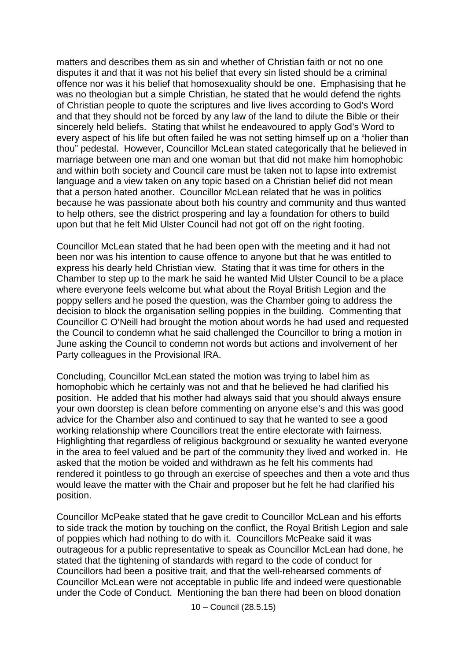matters and describes them as sin and whether of Christian faith or not no one disputes it and that it was not his belief that every sin listed should be a criminal offence nor was it his belief that homosexuality should be one. Emphasising that he was no theologian but a simple Christian, he stated that he would defend the rights of Christian people to quote the scriptures and live lives according to God's Word and that they should not be forced by any law of the land to dilute the Bible or their sincerely held beliefs. Stating that whilst he endeavoured to apply God's Word to every aspect of his life but often failed he was not setting himself up on a "holier than thou" pedestal. However, Councillor McLean stated categorically that he believed in marriage between one man and one woman but that did not make him homophobic and within both society and Council care must be taken not to lapse into extremist language and a view taken on any topic based on a Christian belief did not mean that a person hated another. Councillor McLean related that he was in politics because he was passionate about both his country and community and thus wanted to help others, see the district prospering and lay a foundation for others to build upon but that he felt Mid Ulster Council had not got off on the right footing.

Councillor McLean stated that he had been open with the meeting and it had not been nor was his intention to cause offence to anyone but that he was entitled to express his dearly held Christian view. Stating that it was time for others in the Chamber to step up to the mark he said he wanted Mid Ulster Council to be a place where everyone feels welcome but what about the Royal British Legion and the poppy sellers and he posed the question, was the Chamber going to address the decision to block the organisation selling poppies in the building. Commenting that Councillor C O'Neill had brought the motion about words he had used and requested the Council to condemn what he said challenged the Councillor to bring a motion in June asking the Council to condemn not words but actions and involvement of her Party colleagues in the Provisional IRA.

Concluding, Councillor McLean stated the motion was trying to label him as homophobic which he certainly was not and that he believed he had clarified his position. He added that his mother had always said that you should always ensure your own doorstep is clean before commenting on anyone else's and this was good advice for the Chamber also and continued to say that he wanted to see a good working relationship where Councillors treat the entire electorate with fairness. Highlighting that regardless of religious background or sexuality he wanted everyone in the area to feel valued and be part of the community they lived and worked in. He asked that the motion be voided and withdrawn as he felt his comments had rendered it pointless to go through an exercise of speeches and then a vote and thus would leave the matter with the Chair and proposer but he felt he had clarified his position.

Councillor McPeake stated that he gave credit to Councillor McLean and his efforts to side track the motion by touching on the conflict, the Royal British Legion and sale of poppies which had nothing to do with it. Councillors McPeake said it was outrageous for a public representative to speak as Councillor McLean had done, he stated that the tightening of standards with regard to the code of conduct for Councillors had been a positive trait, and that the well-rehearsed comments of Councillor McLean were not acceptable in public life and indeed were questionable under the Code of Conduct. Mentioning the ban there had been on blood donation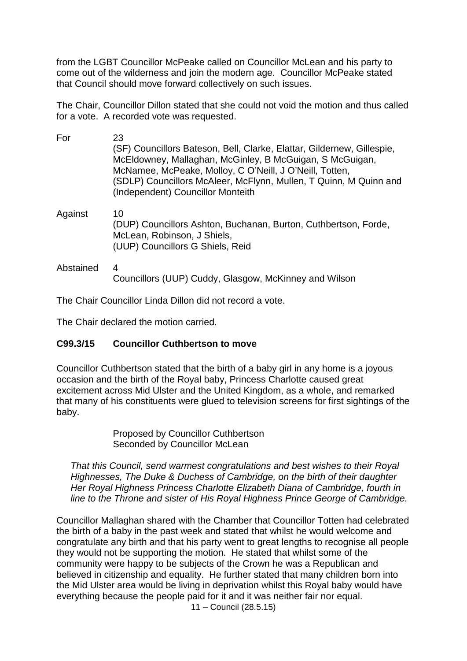from the LGBT Councillor McPeake called on Councillor McLean and his party to come out of the wilderness and join the modern age. Councillor McPeake stated that Council should move forward collectively on such issues.

The Chair, Councillor Dillon stated that she could not void the motion and thus called for a vote. A recorded vote was requested.

| For       | 23<br>(SF) Councillors Bateson, Bell, Clarke, Elattar, Gildernew, Gillespie,<br>McEldowney, Mallaghan, McGinley, B McGuigan, S McGuigan,<br>McNamee, McPeake, Molloy, C O'Neill, J O'Neill, Totten,<br>(SDLP) Councillors McAleer, McFlynn, Mullen, T Quinn, M Quinn and<br>(Independent) Councillor Monteith |
|-----------|---------------------------------------------------------------------------------------------------------------------------------------------------------------------------------------------------------------------------------------------------------------------------------------------------------------|
| Against   | 10<br>(DUP) Councillors Ashton, Buchanan, Burton, Cuthbertson, Forde,<br>McLean, Robinson, J Shiels,<br>(UUP) Councillors G Shiels, Reid                                                                                                                                                                      |
| Abstained | 4<br>Councillors (UUP) Cuddy, Glasgow, McKinney and Wilson                                                                                                                                                                                                                                                    |

The Chair Councillor Linda Dillon did not record a vote.

The Chair declared the motion carried.

### **C99.3/15 Councillor Cuthbertson to move**

Councillor Cuthbertson stated that the birth of a baby girl in any home is a joyous occasion and the birth of the Royal baby, Princess Charlotte caused great excitement across Mid Ulster and the United Kingdom, as a whole, and remarked that many of his constituents were glued to television screens for first sightings of the baby.

> Proposed by Councillor Cuthbertson Seconded by Councillor McLean

*That this Council, send warmest congratulations and best wishes to their Royal Highnesses, The Duke & Duchess of Cambridge, on the birth of their daughter Her Royal Highness Princess Charlotte Elizabeth Diana of Cambridge, fourth in line to the Throne and sister of His Royal Highness Prince George of Cambridge.*

Councillor Mallaghan shared with the Chamber that Councillor Totten had celebrated the birth of a baby in the past week and stated that whilst he would welcome and congratulate any birth and that his party went to great lengths to recognise all people they would not be supporting the motion. He stated that whilst some of the community were happy to be subjects of the Crown he was a Republican and believed in citizenship and equality. He further stated that many children born into the Mid Ulster area would be living in deprivation whilst this Royal baby would have everything because the people paid for it and it was neither fair nor equal.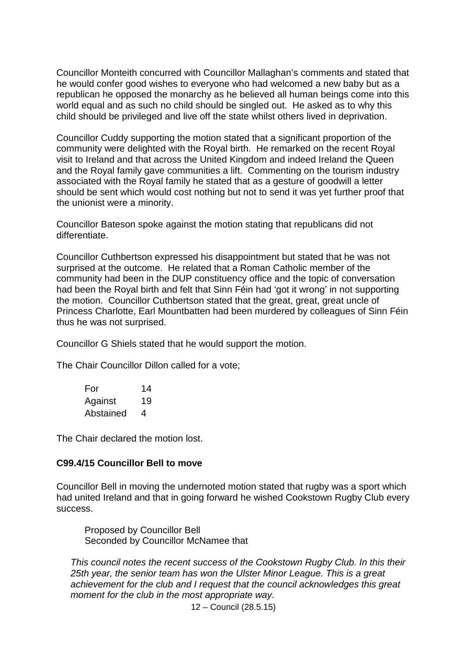Councillor Monteith concurred with Councillor Mallaghan's comments and stated that he would confer good wishes to everyone who had welcomed a new baby but as a republican he opposed the monarchy as he believed all human beings come into this world equal and as such no child should be singled out. He asked as to why this child should be privileged and live off the state whilst others lived in deprivation.

Councillor Cuddy supporting the motion stated that a significant proportion of the community were delighted with the Royal birth. He remarked on the recent Royal visit to Ireland and that across the United Kingdom and indeed Ireland the Queen and the Royal family gave communities a lift. Commenting on the tourism industry associated with the Royal family he stated that as a gesture of goodwill a letter should be sent which would cost nothing but not to send it was yet further proof that the unionist were a minority.

Councillor Bateson spoke against the motion stating that republicans did not differentiate.

Councillor Cuthbertson expressed his disappointment but stated that he was not surprised at the outcome. He related that a Roman Catholic member of the community had been in the DUP constituency office and the topic of conversation had been the Royal birth and felt that Sinn Féin had 'got it wrong' in not supporting the motion. Councillor Cuthbertson stated that the great, great, great uncle of Princess Charlotte, Earl Mountbatten had been murdered by colleagues of Sinn Féin thus he was not surprised.

Councillor G Shiels stated that he would support the motion.

The Chair Councillor Dillon called for a vote;

| For       | 14 |
|-----------|----|
| Against   | 19 |
| Abstained | 4  |

The Chair declared the motion lost.

### **C99.4/15 Councillor Bell to move**

Councillor Bell in moving the undernoted motion stated that rugby was a sport which had united Ireland and that in going forward he wished Cookstown Rugby Club every success.

Proposed by Councillor Bell Seconded by Councillor McNamee that

*This council notes the recent success of the Cookstown Rugby Club. In this their 25th year, the senior team has won the Ulster Minor League. This is a great achievement for the club and I request that the council acknowledges this great moment for the club in the most appropriate way.*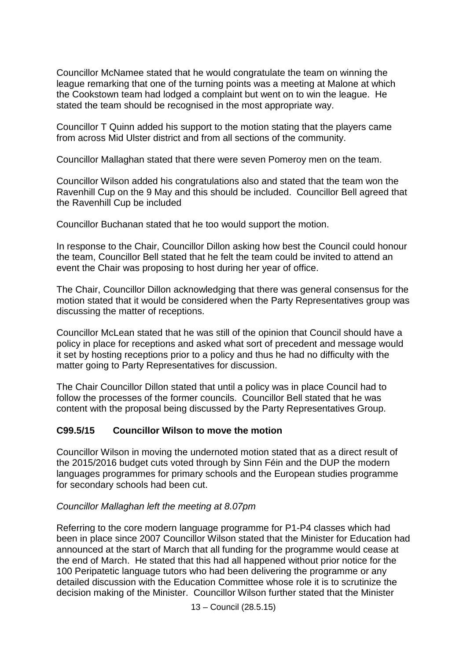Councillor McNamee stated that he would congratulate the team on winning the league remarking that one of the turning points was a meeting at Malone at which the Cookstown team had lodged a complaint but went on to win the league. He stated the team should be recognised in the most appropriate way.

Councillor T Quinn added his support to the motion stating that the players came from across Mid Ulster district and from all sections of the community.

Councillor Mallaghan stated that there were seven Pomeroy men on the team.

Councillor Wilson added his congratulations also and stated that the team won the Ravenhill Cup on the 9 May and this should be included. Councillor Bell agreed that the Ravenhill Cup be included

Councillor Buchanan stated that he too would support the motion.

In response to the Chair, Councillor Dillon asking how best the Council could honour the team, Councillor Bell stated that he felt the team could be invited to attend an event the Chair was proposing to host during her year of office.

The Chair, Councillor Dillon acknowledging that there was general consensus for the motion stated that it would be considered when the Party Representatives group was discussing the matter of receptions.

Councillor McLean stated that he was still of the opinion that Council should have a policy in place for receptions and asked what sort of precedent and message would it set by hosting receptions prior to a policy and thus he had no difficulty with the matter going to Party Representatives for discussion.

The Chair Councillor Dillon stated that until a policy was in place Council had to follow the processes of the former councils. Councillor Bell stated that he was content with the proposal being discussed by the Party Representatives Group.

### **C99.5/15 Councillor Wilson to move the motion**

Councillor Wilson in moving the undernoted motion stated that as a direct result of the 2015/2016 budget cuts voted through by Sinn Féin and the DUP the modern languages programmes for primary schools and the European studies programme for secondary schools had been cut.

### *Councillor Mallaghan left the meeting at 8.07pm*

Referring to the core modern language programme for P1-P4 classes which had been in place since 2007 Councillor Wilson stated that the Minister for Education had announced at the start of March that all funding for the programme would cease at the end of March. He stated that this had all happened without prior notice for the 100 Peripatetic language tutors who had been delivering the programme or any detailed discussion with the Education Committee whose role it is to scrutinize the decision making of the Minister. Councillor Wilson further stated that the Minister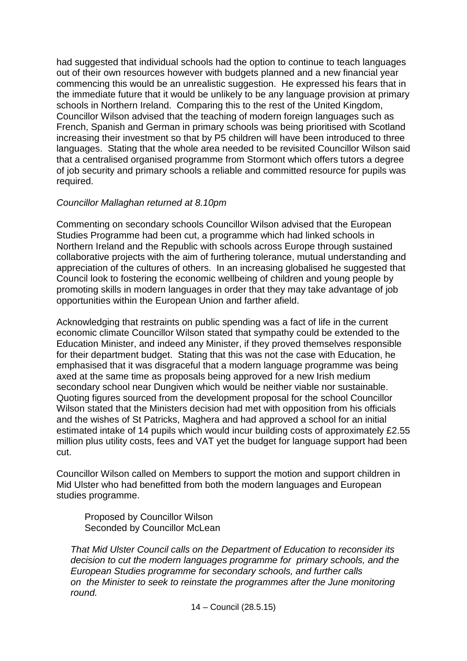had suggested that individual schools had the option to continue to teach languages out of their own resources however with budgets planned and a new financial year commencing this would be an unrealistic suggestion. He expressed his fears that in the immediate future that it would be unlikely to be any language provision at primary schools in Northern Ireland. Comparing this to the rest of the United Kingdom, Councillor Wilson advised that the teaching of modern foreign languages such as French, Spanish and German in primary schools was being prioritised with Scotland increasing their investment so that by P5 children will have been introduced to three languages. Stating that the whole area needed to be revisited Councillor Wilson said that a centralised organised programme from Stormont which offers tutors a degree of job security and primary schools a reliable and committed resource for pupils was required.

## *Councillor Mallaghan returned at 8.10pm*

Commenting on secondary schools Councillor Wilson advised that the European Studies Programme had been cut, a programme which had linked schools in Northern Ireland and the Republic with schools across Europe through sustained collaborative projects with the aim of furthering tolerance, mutual understanding and appreciation of the cultures of others. In an increasing globalised he suggested that Council look to fostering the economic wellbeing of children and young people by promoting skills in modern languages in order that they may take advantage of job opportunities within the European Union and farther afield.

Acknowledging that restraints on public spending was a fact of life in the current economic climate Councillor Wilson stated that sympathy could be extended to the Education Minister, and indeed any Minister, if they proved themselves responsible for their department budget. Stating that this was not the case with Education, he emphasised that it was disgraceful that a modern language programme was being axed at the same time as proposals being approved for a new Irish medium secondary school near Dungiven which would be neither viable nor sustainable. Quoting figures sourced from the development proposal for the school Councillor Wilson stated that the Ministers decision had met with opposition from his officials and the wishes of St Patricks, Maghera and had approved a school for an initial estimated intake of 14 pupils which would incur building costs of approximately £2.55 million plus utility costs, fees and VAT yet the budget for language support had been cut.

Councillor Wilson called on Members to support the motion and support children in Mid Ulster who had benefitted from both the modern languages and European studies programme.

Proposed by Councillor Wilson Seconded by Councillor McLean

*That Mid Ulster Council calls on the Department of Education to reconsider its decision to cut the modern languages programme for primary schools, and the European Studies programme for secondary schools, and further calls on the Minister to seek to reinstate the programmes after the June monitoring round.*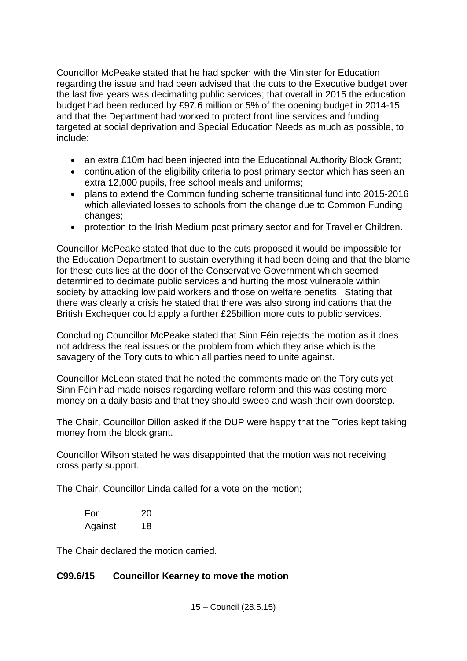Councillor McPeake stated that he had spoken with the Minister for Education regarding the issue and had been advised that the cuts to the Executive budget over the last five years was decimating public services; that overall in 2015 the education budget had been reduced by £97.6 million or 5% of the opening budget in 2014-15 and that the Department had worked to protect front line services and funding targeted at social deprivation and Special Education Needs as much as possible, to include:

- an extra £10m had been injected into the Educational Authority Block Grant;
- continuation of the eligibility criteria to post primary sector which has seen an extra 12,000 pupils, free school meals and uniforms;
- plans to extend the Common funding scheme transitional fund into 2015-2016 which alleviated losses to schools from the change due to Common Funding changes;
- protection to the Irish Medium post primary sector and for Traveller Children.

Councillor McPeake stated that due to the cuts proposed it would be impossible for the Education Department to sustain everything it had been doing and that the blame for these cuts lies at the door of the Conservative Government which seemed determined to decimate public services and hurting the most vulnerable within society by attacking low paid workers and those on welfare benefits. Stating that there was clearly a crisis he stated that there was also strong indications that the British Exchequer could apply a further £25billion more cuts to public services.

Concluding Councillor McPeake stated that Sinn Féin rejects the motion as it does not address the real issues or the problem from which they arise which is the savagery of the Tory cuts to which all parties need to unite against.

Councillor McLean stated that he noted the comments made on the Tory cuts yet Sinn Féin had made noises regarding welfare reform and this was costing more money on a daily basis and that they should sweep and wash their own doorstep.

The Chair, Councillor Dillon asked if the DUP were happy that the Tories kept taking money from the block grant.

Councillor Wilson stated he was disappointed that the motion was not receiving cross party support.

The Chair, Councillor Linda called for a vote on the motion;

| For     | 20 |
|---------|----|
| Against | 18 |

The Chair declared the motion carried.

# **C99.6/15 Councillor Kearney to move the motion**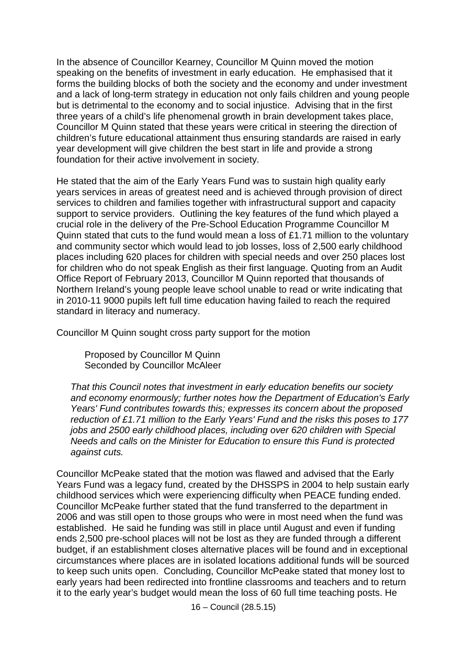In the absence of Councillor Kearney, Councillor M Quinn moved the motion speaking on the benefits of investment in early education. He emphasised that it forms the building blocks of both the society and the economy and under investment and a lack of long-term strategy in education not only fails children and young people but is detrimental to the economy and to social injustice. Advising that in the first three years of a child's life phenomenal growth in brain development takes place, Councillor M Quinn stated that these years were critical in steering the direction of children's future educational attainment thus ensuring standards are raised in early year development will give children the best start in life and provide a strong foundation for their active involvement in society.

He stated that the aim of the Early Years Fund was to sustain high quality early years services in areas of greatest need and is achieved through provision of direct services to children and families together with infrastructural support and capacity support to service providers. Outlining the key features of the fund which played a crucial role in the delivery of the Pre-School Education Programme Councillor M Quinn stated that cuts to the fund would mean a loss of £1.71 million to the voluntary and community sector which would lead to job losses, loss of 2,500 early childhood places including 620 places for children with special needs and over 250 places lost for children who do not speak English as their first language. Quoting from an Audit Office Report of February 2013, Councillor M Quinn reported that thousands of Northern Ireland's young people leave school unable to read or write indicating that in 2010-11 9000 pupils left full time education having failed to reach the required standard in literacy and numeracy.

Councillor M Quinn sought cross party support for the motion

Proposed by Councillor M Quinn Seconded by Councillor McAleer

*That this Council notes that investment in early education benefits our society and economy enormously; further notes how the Department of Education's Early Years' Fund contributes towards this; expresses its concern about the proposed reduction of £1.71 million to the Early Years' Fund and the risks this poses to 177 jobs and 2500 early childhood places, including over 620 children with Special Needs and calls on the Minister for Education to ensure this Fund is protected against cuts.*

Councillor McPeake stated that the motion was flawed and advised that the Early Years Fund was a legacy fund, created by the DHSSPS in 2004 to help sustain early childhood services which were experiencing difficulty when PEACE funding ended. Councillor McPeake further stated that the fund transferred to the department in 2006 and was still open to those groups who were in most need when the fund was established. He said he funding was still in place until August and even if funding ends 2,500 pre-school places will not be lost as they are funded through a different budget, if an establishment closes alternative places will be found and in exceptional circumstances where places are in isolated locations additional funds will be sourced to keep such units open. Concluding, Councillor McPeake stated that money lost to early years had been redirected into frontline classrooms and teachers and to return it to the early year's budget would mean the loss of 60 full time teaching posts. He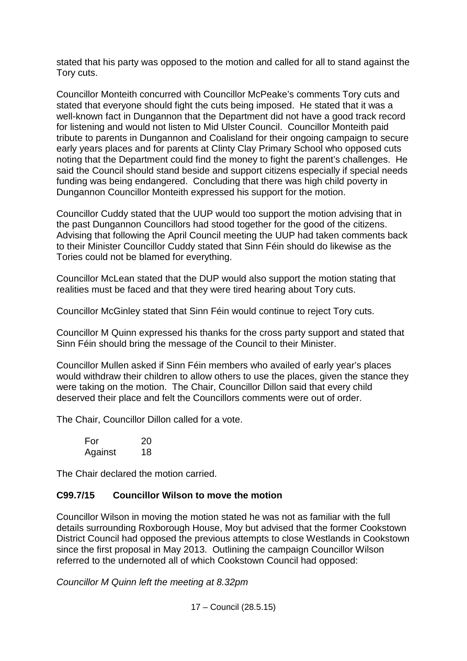stated that his party was opposed to the motion and called for all to stand against the Tory cuts.

Councillor Monteith concurred with Councillor McPeake's comments Tory cuts and stated that everyone should fight the cuts being imposed. He stated that it was a well-known fact in Dungannon that the Department did not have a good track record for listening and would not listen to Mid Ulster Council. Councillor Monteith paid tribute to parents in Dungannon and Coalisland for their ongoing campaign to secure early years places and for parents at Clinty Clay Primary School who opposed cuts noting that the Department could find the money to fight the parent's challenges. He said the Council should stand beside and support citizens especially if special needs funding was being endangered. Concluding that there was high child poverty in Dungannon Councillor Monteith expressed his support for the motion.

Councillor Cuddy stated that the UUP would too support the motion advising that in the past Dungannon Councillors had stood together for the good of the citizens. Advising that following the April Council meeting the UUP had taken comments back to their Minister Councillor Cuddy stated that Sinn Féin should do likewise as the Tories could not be blamed for everything.

Councillor McLean stated that the DUP would also support the motion stating that realities must be faced and that they were tired hearing about Tory cuts.

Councillor McGinley stated that Sinn Féin would continue to reject Tory cuts.

Councillor M Quinn expressed his thanks for the cross party support and stated that Sinn Féin should bring the message of the Council to their Minister.

Councillor Mullen asked if Sinn Féin members who availed of early year's places would withdraw their children to allow others to use the places, given the stance they were taking on the motion. The Chair, Councillor Dillon said that every child deserved their place and felt the Councillors comments were out of order.

The Chair, Councillor Dillon called for a vote.

| For     | 20 |
|---------|----|
| Against | 18 |

The Chair declared the motion carried.

### **C99.7/15 Councillor Wilson to move the motion**

Councillor Wilson in moving the motion stated he was not as familiar with the full details surrounding Roxborough House, Moy but advised that the former Cookstown District Council had opposed the previous attempts to close Westlands in Cookstown since the first proposal in May 2013. Outlining the campaign Councillor Wilson referred to the undernoted all of which Cookstown Council had opposed:

*Councillor M Quinn left the meeting at 8.32pm*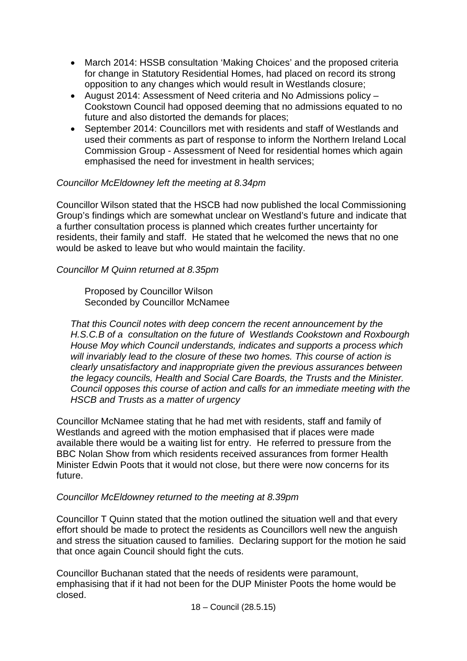- March 2014: HSSB consultation 'Making Choices' and the proposed criteria for change in Statutory Residential Homes, had placed on record its strong opposition to any changes which would result in Westlands closure;
- August 2014: Assessment of Need criteria and No Admissions policy Cookstown Council had opposed deeming that no admissions equated to no future and also distorted the demands for places;
- September 2014: Councillors met with residents and staff of Westlands and used their comments as part of response to inform the Northern Ireland Local Commission Group - Assessment of Need for residential homes which again emphasised the need for investment in health services;

## *Councillor McEldowney left the meeting at 8.34pm*

Councillor Wilson stated that the HSCB had now published the local Commissioning Group's findings which are somewhat unclear on Westland's future and indicate that a further consultation process is planned which creates further uncertainty for residents, their family and staff. He stated that he welcomed the news that no one would be asked to leave but who would maintain the facility.

### *Councillor M Quinn returned at 8.35pm*

Proposed by Councillor Wilson Seconded by Councillor McNamee

*That this Council notes with deep concern the recent announcement by the H.S.C.B of a consultation on the future of Westlands Cookstown and Roxbourgh House Moy which Council understands, indicates and supports a process which will invariably lead to the closure of these two homes. This course of action is clearly unsatisfactory and inappropriate given the previous assurances between the legacy councils, Health and Social Care Boards, the Trusts and the Minister. Council opposes this course of action and calls for an immediate meeting with the HSCB and Trusts as a matter of urgency*

Councillor McNamee stating that he had met with residents, staff and family of Westlands and agreed with the motion emphasised that if places were made available there would be a waiting list for entry. He referred to pressure from the BBC Nolan Show from which residents received assurances from former Health Minister Edwin Poots that it would not close, but there were now concerns for its future.

### *Councillor McEldowney returned to the meeting at 8.39pm*

Councillor T Quinn stated that the motion outlined the situation well and that every effort should be made to protect the residents as Councillors well new the anguish and stress the situation caused to families. Declaring support for the motion he said that once again Council should fight the cuts.

Councillor Buchanan stated that the needs of residents were paramount, emphasising that if it had not been for the DUP Minister Poots the home would be closed.